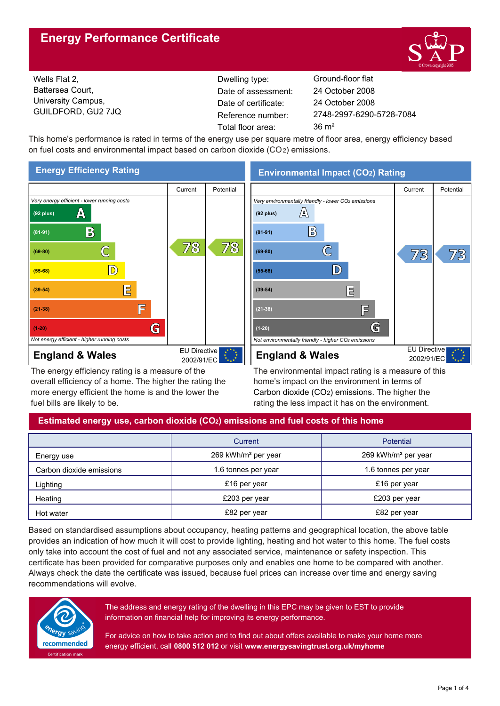# **Energy Performance Certificate**



Wells Flat 2, Battersea Court, University Campus, GUILDFORD, GU2 7JQ

Dwelling type: Ground-floor flat Date of certificate: Total floor area: 36 m<sup>2</sup> Date of assessment:

2748-2997-6290-5728-7084 24 October 2008 24 October 2008

This home's performance is rated in terms of the energy use per square metre of floor area, energy efficiency based on fuel costs and environmental impact based on carbon dioxide (CO2) emissions.



The energy efficiency rating is a measure of the overall efficiency of a home. The higher the rating the more energy efficient the home is and the lower the fuel bills are likely to be.

**Environmental Impact (CO2) Rating**



The environmental impact rating is a measure of this home's impact on the environment in terms of Carbon dioxide (CO2) emissions. The higher the rating the less impact it has on the environment.

## **Estimated energy use, carbon dioxide (CO2) emissions and fuel costs of this home**

|                          | Current                         | Potential                       |  |
|--------------------------|---------------------------------|---------------------------------|--|
| Energy use               | 269 kWh/m <sup>2</sup> per year | 269 kWh/m <sup>2</sup> per year |  |
| Carbon dioxide emissions | 1.6 tonnes per year             | 1.6 tonnes per year             |  |
| Lighting                 | £16 per year                    | £16 per year                    |  |
| Heating                  | £203 per year                   | £203 per year                   |  |
| Hot water                | £82 per year                    | £82 per year                    |  |

Based on standardised assumptions about occupancy, heating patterns and geographical location, the above table provides an indication of how much it will cost to provide lighting, heating and hot water to this home. The fuel costs only take into account the cost of fuel and not any associated service, maintenance or safety inspection. This certificate has been provided for comparative purposes only and enables one home to be compared with another. Always check the date the certificate was issued, because fuel prices can increase over time and energy saving recommendations will evolve.



The address and energy rating of the dwelling in this EPC may be given to EST to provide information on financial help for improving its energy performance.

For advice on how to take action and to find out about offers available to make your home more energy efficient, call **0800 512 012** or visit **www.energysavingtrust.org.uk/myhome**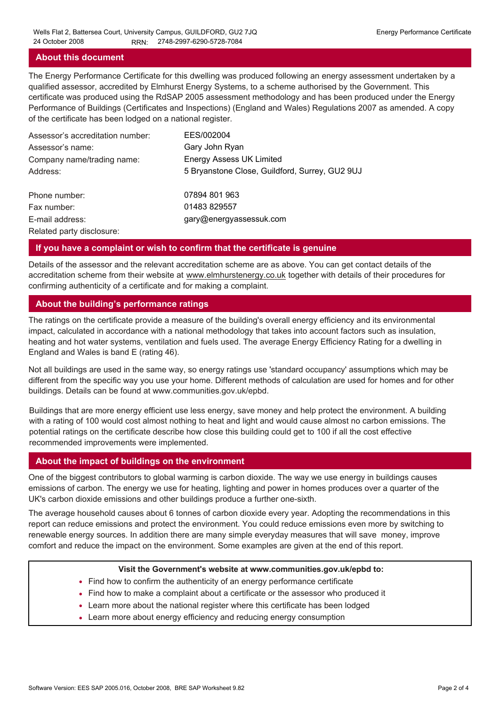### **About this document**

The Energy Performance Certificate for this dwelling was produced following an energy assessment undertaken by a qualified assessor, accredited by Elmhurst Energy Systems, to a scheme authorised by the Government. This certificate was produced using the RdSAP 2005 assessment methodology and has been produced under the Energy Performance of Buildings (Certificates and Inspections) (England and Wales) Regulations 2007 as amended. A copy of the certificate has been lodged on a national register.

| Assessor's accreditation number: | EES/002004                                     |
|----------------------------------|------------------------------------------------|
| Assessor's name:                 | Gary John Ryan                                 |
| Company name/trading name:       | <b>Energy Assess UK Limited</b>                |
| Address:                         | 5 Bryanstone Close, Guildford, Surrey, GU2 9UJ |
| Phone number:                    | 07894 801 963                                  |
| Fax number:                      | 01483 829557                                   |
| E-mail address:                  | gary@energyassessuk.com                        |
| Related party disclosure:        |                                                |

#### **If you have a complaint or wish to confirm that the certificate is genuine**

Details of the assessor and the relevant accreditation scheme are as above. You can get contact details of the accreditation scheme from their website at www.elmhurstenergy.co.uk together with details of their procedures for confirming authenticity of a certificate and for making a complaint.

### **About the building's performance ratings**

The ratings on the certificate provide a measure of the building's overall energy efficiency and its environmental impact, calculated in accordance with a national methodology that takes into account factors such as insulation, heating and hot water systems, ventilation and fuels used. The average Energy Efficiency Rating for a dwelling in England and Wales is band E (rating 46).

Not all buildings are used in the same way, so energy ratings use 'standard occupancy' assumptions which may be different from the specific way you use your home. Different methods of calculation are used for homes and for other buildings. Details can be found at www.communities.gov.uk/epbd.

Buildings that are more energy efficient use less energy, save money and help protect the environment. A building with a rating of 100 would cost almost nothing to heat and light and would cause almost no carbon emissions. The potential ratings on the certificate describe how close this building could get to 100 if all the cost effective recommended improvements were implemented.

#### **About the impact of buildings on the environment**

One of the biggest contributors to global warming is carbon dioxide. The way we use energy in buildings causes emissions of carbon. The energy we use for heating, lighting and power in homes produces over a quarter of the UK's carbon dioxide emissions and other buildings produce a further one-sixth.

The average household causes about 6 tonnes of carbon dioxide every year. Adopting the recommendations in this report can reduce emissions and protect the environment. You could reduce emissions even more by switching to renewable energy sources. In addition there are many simple everyday measures that will save money, improve comfort and reduce the impact on the environment. Some examples are given at the end of this report.

#### **Visit the Government's website at www.communities.gov.uk/epbd to:**

- Find how to confirm the authenticity of an energy performance certificate
- Find how to make a complaint about a certificate or the assessor who produced it •
- Learn more about the national register where this certificate has been lodged •
- Learn more about energy efficiency and reducing energy consumption •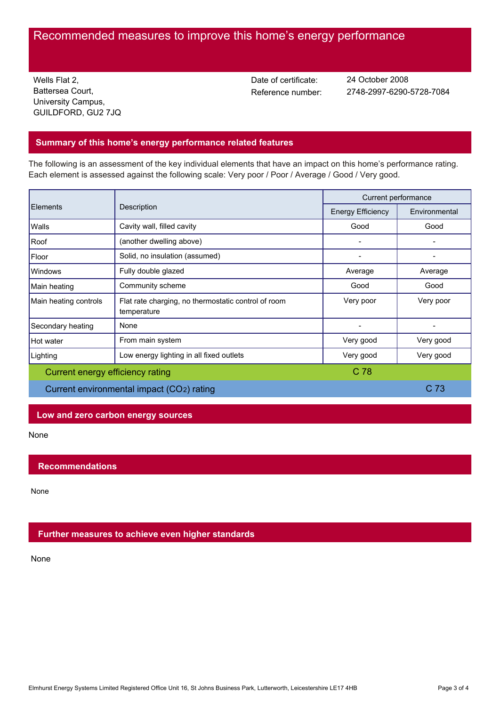# Recommended measures to improve this home's energy performance

Wells Flat 2, Battersea Court, University Campus, GUILDFORD, GU2 7JQ Date of certificate:

Reference number: 2748-2997-6290-5728-7084 24 October 2008

## **Summary of this home's energy performance related features**

The following is an assessment of the key individual elements that have an impact on this home's performance rating. Each element is assessed against the following scale: Very poor / Poor / Average / Good / Very good.

| Elements                                            | Description                                                        | Current performance      |               |
|-----------------------------------------------------|--------------------------------------------------------------------|--------------------------|---------------|
|                                                     |                                                                    | <b>Energy Efficiency</b> | Environmental |
| Walls                                               | Cavity wall, filled cavity                                         | Good                     | Good          |
| Roof                                                | (another dwelling above)                                           |                          |               |
| Floor                                               | Solid, no insulation (assumed)                                     |                          |               |
| Windows                                             | Fully double glazed                                                | Average                  | Average       |
| Main heating                                        | Community scheme                                                   | Good                     | Good          |
| Main heating controls                               | Flat rate charging, no thermostatic control of room<br>temperature | Very poor                | Very poor     |
| Secondary heating                                   | None                                                               |                          |               |
| Hot water                                           | From main system                                                   | Very good                | Very good     |
| Lighting                                            | Low energy lighting in all fixed outlets                           | Very good                | Very good     |
| C <sub>78</sub><br>Current energy efficiency rating |                                                                    |                          |               |
| Current environmental impact (CO2) rating           |                                                                    | C <sub>73</sub>          |               |

## **Low and zero carbon energy sources**

None

## **Recommendations**

None

## **Further measures to achieve even higher standards**

None